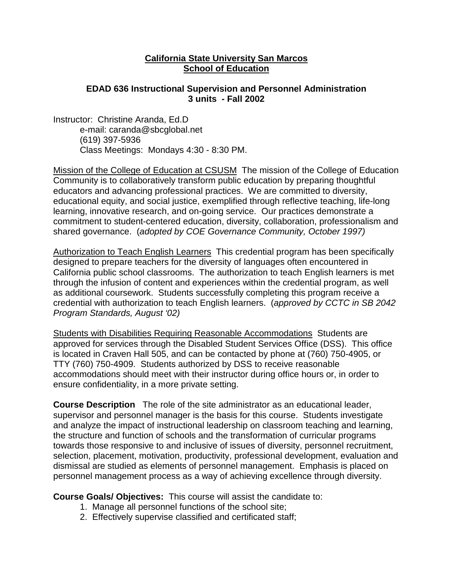#### **California State University San Marcos School of Education**

#### **EDAD 636 Instructional Supervision and Personnel Administration 3 units - Fall 2002**

Instructor: Christine Aranda, Ed.D e-mail: caranda@sbcglobal.net (619) 397-5936 Class Meetings: Mondays 4:30 - 8:30 PM.

Mission of the College of Education at CSUSM The mission of the College of Education Community is to collaboratively transform public education by preparing thoughtful educators and advancing professional practices. We are committed to diversity, educational equity, and social justice, exemplified through reflective teaching, life-long learning, innovative research, and on-going service. Our practices demonstrate a commitment to student-centered education, diversity, collaboration, professionalism and shared governance. (*adopted by COE Governance Community, October 1997)*

Authorization to Teach English Learners This credential program has been specifically designed to prepare teachers for the diversity of languages often encountered in California public school classrooms. The authorization to teach English learners is met through the infusion of content and experiences within the credential program, as well as additional coursework. Students successfully completing this program receive a credential with authorization to teach English learners. (*approved by CCTC in SB 2042 Program Standards, August '02)*

Students with Disabilities Requiring Reasonable Accommodations Students are approved for services through the Disabled Student Services Office (DSS). This office is located in Craven Hall 505, and can be contacted by phone at (760) 750-4905, or TTY (760) 750-4909. Students authorized by DSS to receive reasonable accommodations should meet with their instructor during office hours or, in order to ensure confidentiality, in a more private setting.

**Course Description** The role of the site administrator as an educational leader, supervisor and personnel manager is the basis for this course. Students investigate and analyze the impact of instructional leadership on classroom teaching and learning, the structure and function of schools and the transformation of curricular programs towards those responsive to and inclusive of issues of diversity, personnel recruitment, selection, placement, motivation, productivity, professional development, evaluation and dismissal are studied as elements of personnel management. Emphasis is placed on personnel management process as a way of achieving excellence through diversity.

**Course Goals/ Objectives:** This course will assist the candidate to:

- 1. Manage all personnel functions of the school site;
- 2. Effectively supervise classified and certificated staff;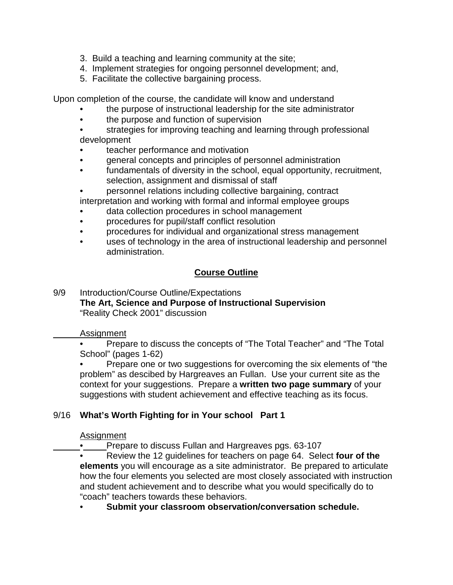- 3. Build a teaching and learning community at the site;
- 4. Implement strategies for ongoing personnel development; and,
- 5. Facilitate the collective bargaining process.

Upon completion of the course, the candidate will know and understand

- the purpose of instructional leadership for the site administrator
- the purpose and function of supervision
- strategies for improving teaching and learning through professional development
- teacher performance and motivation
- general concepts and principles of personnel administration
- fundamentals of diversity in the school, equal opportunity, recruitment, selection, assignment and dismissal of staff
- personnel relations including collective bargaining, contract interpretation and working with formal and informal employee groups
- data collection procedures in school management
- procedures for pupil/staff conflict resolution
- procedures for individual and organizational stress management
- uses of technology in the area of instructional leadership and personnel administration.

# **Course Outline**

9/9 Introduction/Course Outline/Expectations **The Art, Science and Purpose of Instructional Supervision** "Reality Check 2001" discussion

#### Assignment

• Prepare to discuss the concepts of "The Total Teacher" and "The Total School" (pages 1-62)

• Prepare one or two suggestions for overcoming the six elements of "the problem" as descibed by Hargreaves an Fullan. Use your current site as the context for your suggestions. Prepare a **written two page summary** of your suggestions with student achievement and effective teaching as its focus.

## 9/16 **What's Worth Fighting for in Your school Part 1**

#### Assignment

• Prepare to discuss Fullan and Hargreaves pgs. 63-107

• Review the 12 guidelines for teachers on page 64. Select **four of the elements** you will encourage as a site administrator. Be prepared to articulate how the four elements you selected are most closely associated with instruction and student achievement and to describe what you would specifically do to "coach" teachers towards these behaviors.

• **Submit your classroom observation/conversation schedule.**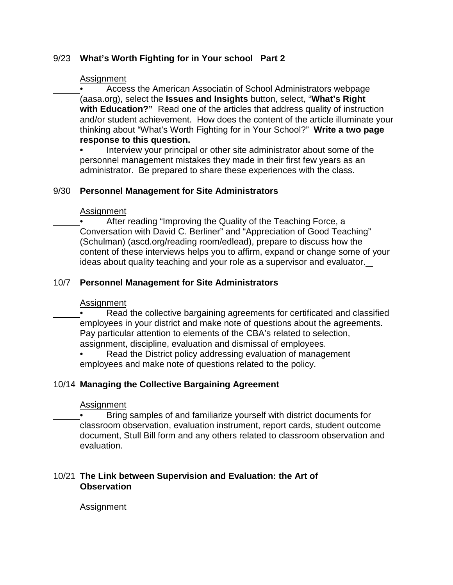## 9/23 **What's Worth Fighting for in Your school Part 2**

#### Assignment

• Access the American Associatin of School Administrators webpage (aasa.org), select the **Issues and Insights** button, select, "**What's Right with Education?"** Read one of the articles that address quality of instruction and/or student achievement. How does the content of the article illuminate your thinking about "What's Worth Fighting for in Your School?" **Write a two page response to this question.**

**•** Interview your principal or other site administrator about some of the personnel management mistakes they made in their first few years as an administrator. Be prepared to share these experiences with the class.

#### 9/30 **Personnel Management for Site Administrators**

#### Assignment

• After reading "Improving the Quality of the Teaching Force, a Conversation with David C. Berliner" and "Appreciation of Good Teaching" (Schulman) (ascd.org/reading room/edlead), prepare to discuss how the content of these interviews helps you to affirm, expand or change some of your ideas about quality teaching and your role as a supervisor and evaluator.

#### 10/7 **Personnel Management for Site Administrators**

#### **Assignment**

- Read the collective bargaining agreements for certificated and classified employees in your district and make note of questions about the agreements. Pay particular attention to elements of the CBA's related to selection, assignment, discipline, evaluation and dismissal of employees.
	- Read the District policy addressing evaluation of management employees and make note of questions related to the policy.

#### 10/14 **Managing the Collective Bargaining Agreement**

#### **Assignment**

• Bring samples of and familiarize yourself with district documents for classroom observation, evaluation instrument, report cards, student outcome document, Stull Bill form and any others related to classroom observation and evaluation.

#### 10/21 **The Link between Supervision and Evaluation: the Art of Observation**

#### Assignment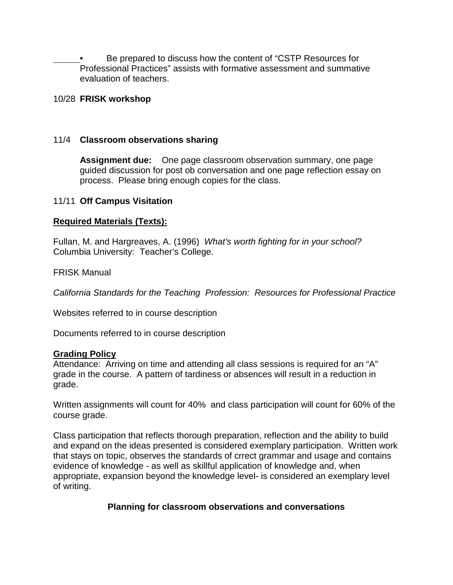• Be prepared to discuss how the content of "CSTP Resources for Professional Practices" assists with formative assessment and summative evaluation of teachers.

#### 10/28 **FRISK workshop**

### 11/4 **Classroom observations sharing**

**Assignment due:** One page classroom observation summary, one page guided discussion for post ob conversation and one page reflection essay on process. Please bring enough copies for the class.

#### 11/11 **Off Campus Visitation**

## **Required Materials (Texts):**

Fullan, M. and Hargreaves, A. (1996) *What's worth fighting for in your school?*  Columbia University: Teacher's College.

#### FRISK Manual

*California Standards for the Teaching Profession: Resources for Professional Practice*

Websites referred to in course description

Documents referred to in course description

#### **Grading Policy**

Attendance: Arriving on time and attending all class sessions is required for an "A" grade in the course. A pattern of tardiness or absences will result in a reduction in grade.

Written assignments will count for 40% and class participation will count for 60% of the course grade.

Class participation that reflects thorough preparation, reflection and the ability to build and expand on the ideas presented is considered exemplary participation. Written work that stays on topic, observes the standards of crrect grammar and usage and contains evidence of knowledge - as well as skillful application of knowledge and, when appropriate, expansion beyond the knowledge level- is considered an exemplary level of writing.

## **Planning for classroom observations and conversations**